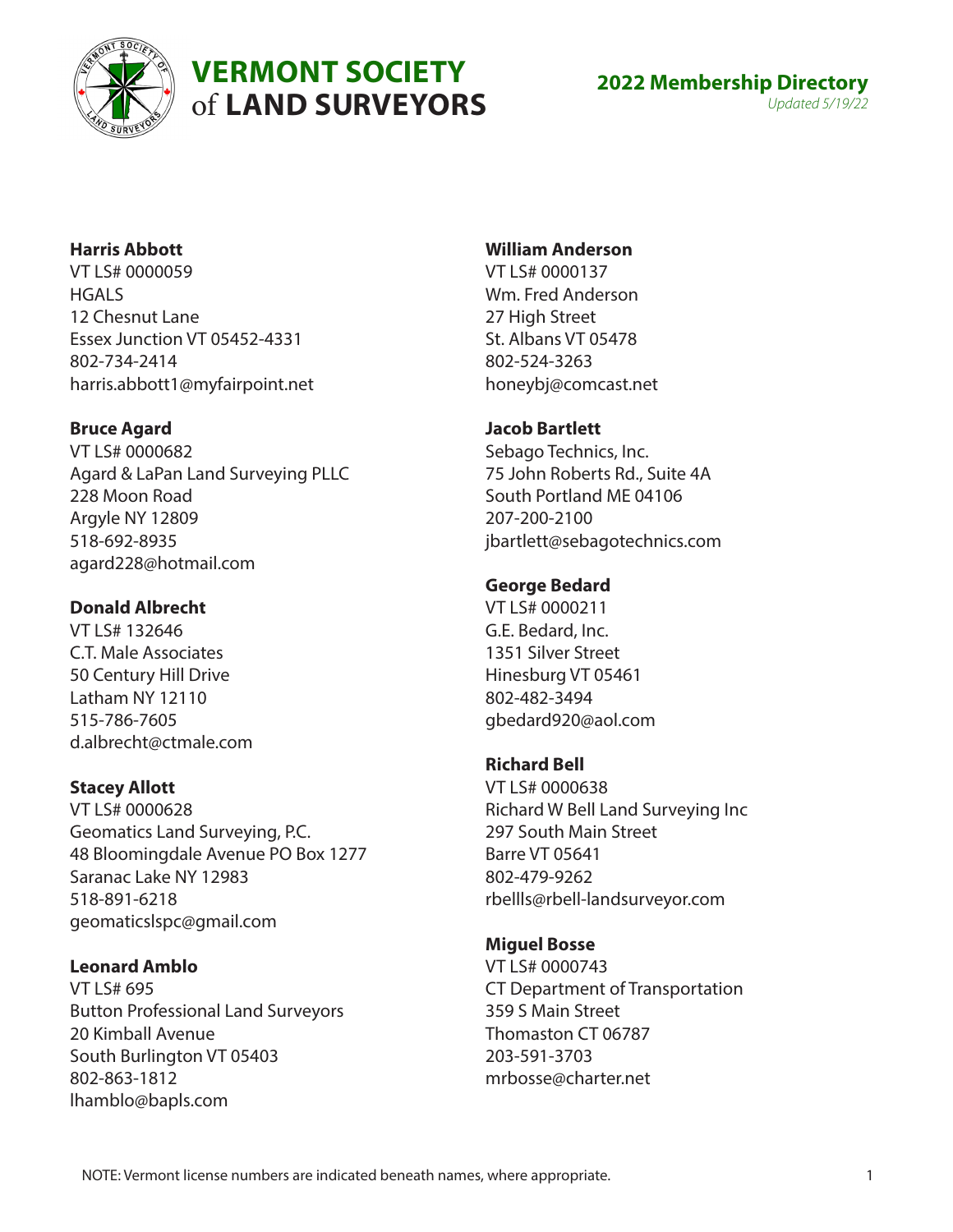

# **VERMONT SOCIETY** of **LAND SURVEYORS**

# **Harris Abbott**

VT LS# 0000059 **HGALS** 12 Chesnut Lane Essex Junction VT 05452-4331 802-734-2414 harris.abbott1@myfairpoint.net

# **Bruce Agard**

VT LS# 0000682 Agard & LaPan Land Surveying PLLC 228 Moon Road Argyle NY 12809 518-692-8935 agard228@hotmail.com

# **Donald Albrecht**

VT LS# 132646 C.T. Male Associates 50 Century Hill Drive Latham NY 12110 515-786-7605 d.albrecht@ctmale.com

# **Stacey Allott**

VT LS# 0000628 Geomatics Land Surveying, P.C. 48 Bloomingdale Avenue PO Box 1277 Saranac Lake NY 12983 518-891-6218 geomaticslspc@gmail.com

# **Leonard Amblo**

VT LS# 695 Button Professional Land Surveyors 20 Kimball Avenue South Burlington VT 05403 802-863-1812 lhamblo@bapls.com

# **William Anderson**

VT LS# 0000137 Wm. Fred Anderson 27 High Street St. Albans VT 05478 802-524-3263 honeybj@comcast.net

# **Jacob Bartlett**

Sebago Technics, Inc. 75 John Roberts Rd., Suite 4A South Portland ME 04106 207-200-2100 jbartlett@sebagotechnics.com

# **George Bedard**

VT LS# 0000211 G.E. Bedard, Inc. 1351 Silver Street Hinesburg VT 05461 802-482-3494 gbedard920@aol.com

### **Richard Bell**

VT LS# 0000638 Richard W Bell Land Surveying Inc 297 South Main Street Barre VT 05641 802-479-9262 rbellls@rbell-landsurveyor.com

# **Miguel Bosse**

VT LS# 0000743 CT Department of Transportation 359 S Main Street Thomaston CT 06787 203-591-3703 mrbosse@charter.net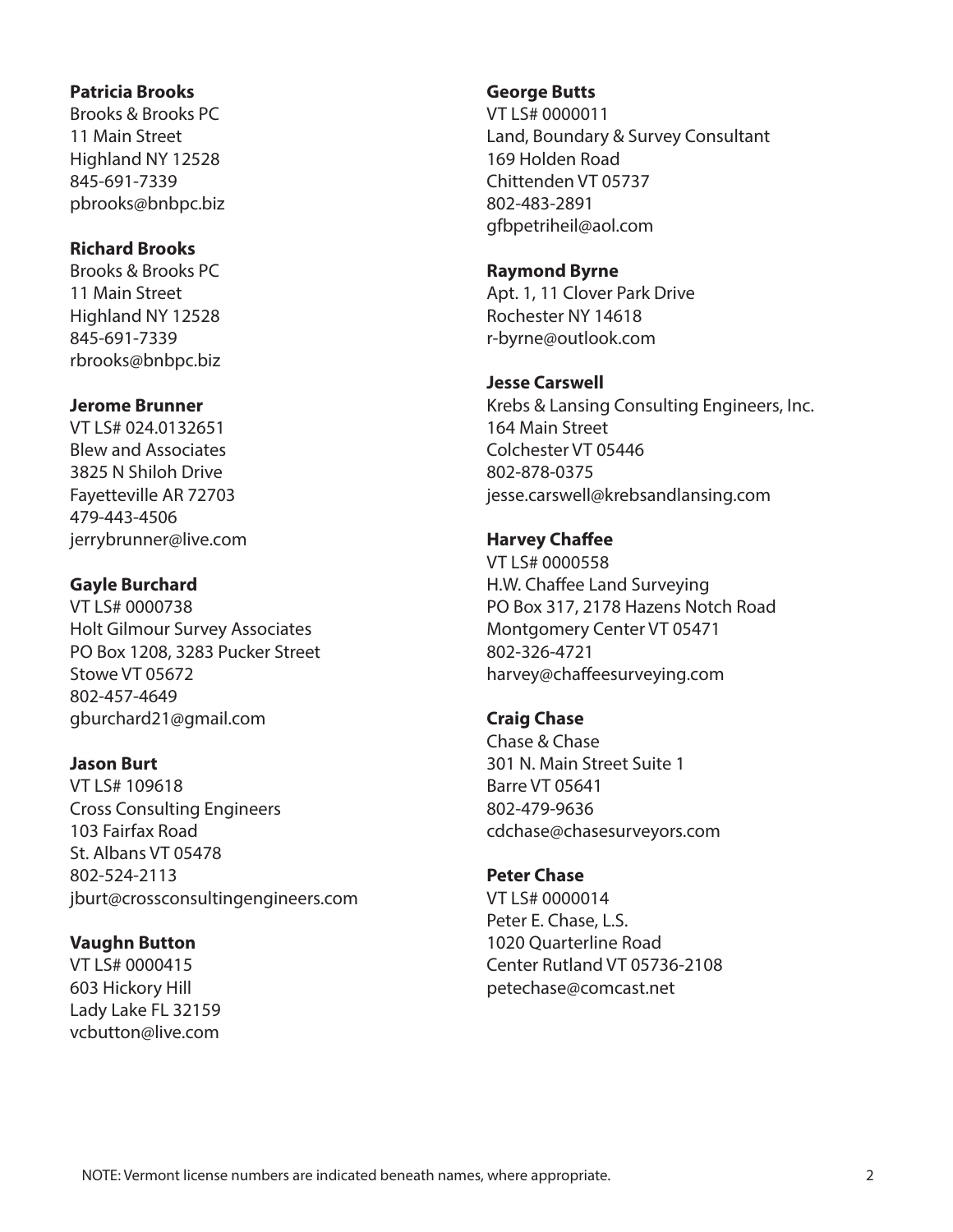#### **Patricia Brooks**

Brooks & Brooks PC 11 Main Street Highland NY 12528 845-691-7339 pbrooks@bnbpc.biz

#### **Richard Brooks**

Brooks & Brooks PC 11 Main Street Highland NY 12528 845-691-7339 rbrooks@bnbpc.biz

#### **Jerome Brunner**

VT LS# 024.0132651 Blew and Associates 3825 N Shiloh Drive Fayetteville AR 72703 479-443-4506 jerrybrunner@live.com

#### **Gayle Burchard**

VT LS# 0000738 Holt Gilmour Survey Associates PO Box 1208, 3283 Pucker Street Stowe VT 05672 802-457-4649 gburchard21@gmail.com

#### **Jason Burt**

VT LS# 109618 Cross Consulting Engineers 103 Fairfax Road St. Albans VT 05478 802-524-2113 jburt@crossconsultingengineers.com

### **Vaughn Button**

VT LS# 0000415 603 Hickory Hill Lady Lake FL 32159 vcbutton@live.com

#### **George Butts**

VT LS# 0000011 Land, Boundary & Survey Consultant 169 Holden Road Chittenden VT 05737 802-483-2891 gfbpetriheil@aol.com

#### **Raymond Byrne**

Apt. 1, 11 Clover Park Drive Rochester NY 14618 r-byrne@outlook.com

#### **Jesse Carswell**

Krebs & Lansing Consulting Engineers, Inc. 164 Main Street Colchester VT 05446 802-878-0375 jesse.carswell@krebsandlansing.com

### **Harvey Chaffee**

VT LS# 0000558 H.W. Chaffee Land Surveying PO Box 317, 2178 Hazens Notch Road Montgomery Center VT 05471 802-326-4721 harvey@chaffeesurveying.com

# **Craig Chase**

Chase & Chase 301 N. Main Street Suite 1 Barre VT 05641 802-479-9636 cdchase@chasesurveyors.com

#### **Peter Chase**

VT LS# 0000014 Peter E. Chase, L.S. 1020 Quarterline Road Center Rutland VT 05736-2108 petechase@comcast.net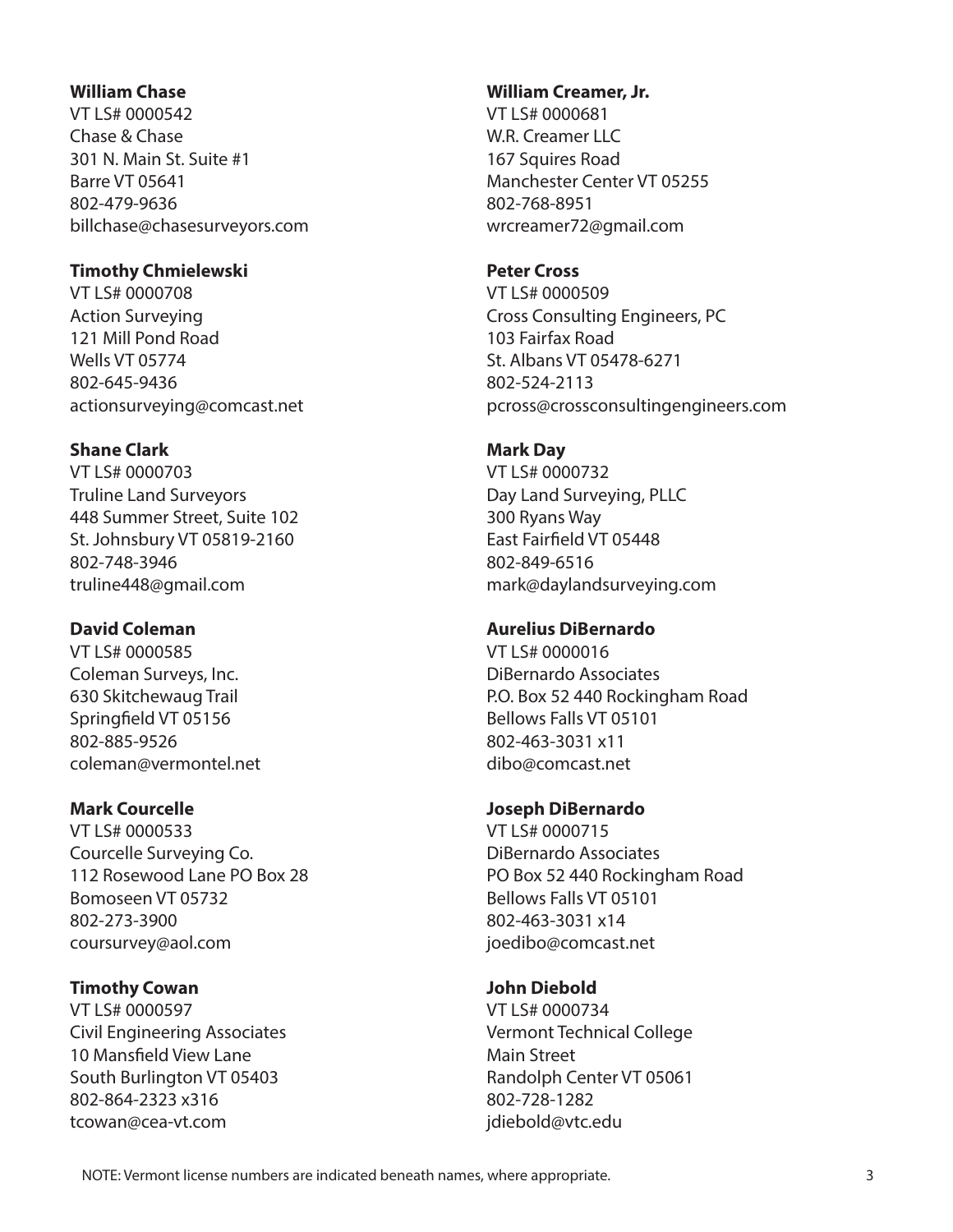#### **William Chase**

VT LS# 0000542 Chase & Chase 301 N. Main St. Suite #1 Barre VT 05641 802-479-9636 billchase@chasesurveyors.com

#### **Timothy Chmielewski**

VT LS# 0000708 Action Surveying 121 Mill Pond Road Wells VT 05774 802-645-9436 actionsurveying@comcast.net

### **Shane Clark**

VT LS# 0000703 Truline Land Surveyors 448 Summer Street, Suite 102 St. Johnsbury VT 05819-2160 802-748-3946 truline448@gmail.com

### **David Coleman**

VT LS# 0000585 Coleman Surveys, Inc. 630 Skitchewaug Trail Springfield VT 05156 802-885-9526 coleman@vermontel.net

### **Mark Courcelle**

VT LS# 0000533 Courcelle Surveying Co. 112 Rosewood Lane PO Box 28 Bomoseen VT 05732 802-273-3900 coursurvey@aol.com

### **Timothy Cowan**

VT LS# 0000597 Civil Engineering Associates 10 Mansfield View Lane South Burlington VT 05403 802-864-2323 x316 tcowan@cea-vt.com

#### **William Creamer, Jr.**

VT LS# 0000681 W.R. Creamer LLC 167 Squires Road Manchester Center VT 05255 802-768-8951 wrcreamer72@gmail.com

#### **Peter Cross**

VT LS# 0000509 Cross Consulting Engineers, PC 103 Fairfax Road St. Albans VT 05478-6271 802-524-2113 pcross@crossconsultingengineers.com

### **Mark Day**

VT LS# 0000732 Day Land Surveying, PLLC 300 Ryans Way East Fairfield VT 05448 802-849-6516 mark@daylandsurveying.com

### **Aurelius DiBernardo**

VT LS# 0000016 DiBernardo Associates P.O. Box 52 440 Rockingham Road Bellows Falls VT 05101 802-463-3031 x11 dibo@comcast.net

### **Joseph DiBernardo**

VT LS# 0000715 DiBernardo Associates PO Box 52 440 Rockingham Road Bellows Falls VT 05101 802-463-3031 x14 joedibo@comcast.net

# **John Diebold**

VT LS# 0000734 Vermont Technical College Main Street Randolph Center VT 05061 802-728-1282 jdiebold@vtc.edu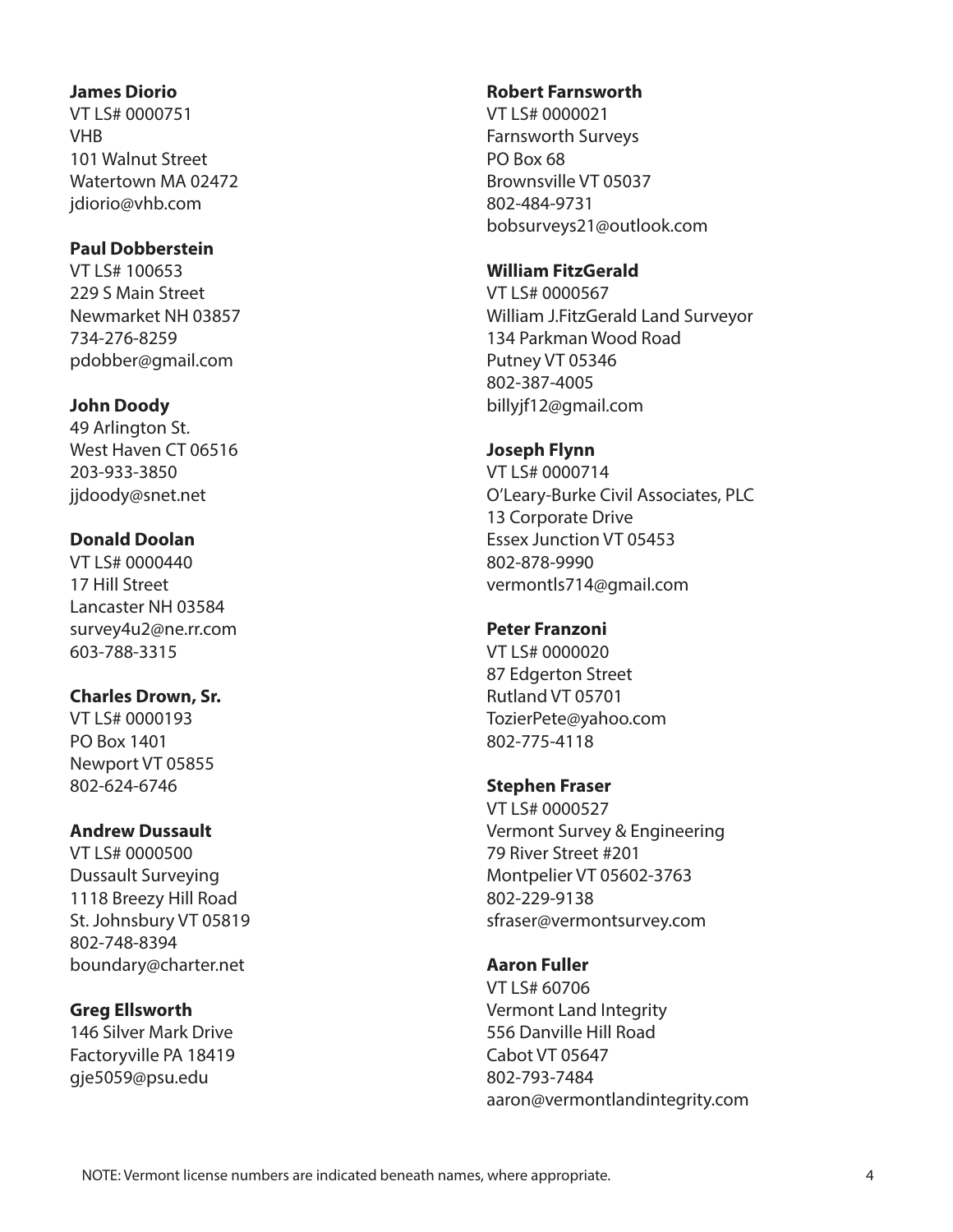#### **James Diorio**

VT LS# 0000751 **VHR** 101 Walnut Street Watertown MA 02472 jdiorio@vhb.com

### **Paul Dobberstein**

VT LS# 100653 229 S Main Street Newmarket NH 03857 734-276-8259 pdobber@gmail.com

# **John Doody**

49 Arlington St. West Haven CT 06516 203-933-3850 jjdoody@snet.net

# **Donald Doolan**

VT LS# 0000440 17 Hill Street Lancaster NH 03584 survey4u2@ne.rr.com 603-788-3315

# **Charles Drown, Sr.**

VT LS# 0000193 PO Box 1401 Newport VT 05855 802-624-6746

### **Andrew Dussault**

VT LS# 0000500 Dussault Surveying 1118 Breezy Hill Road St. Johnsbury VT 05819 802-748-8394 boundary@charter.net

### **Greg Ellsworth**

146 Silver Mark Drive Factoryville PA 18419 gje5059@psu.edu

#### **Robert Farnsworth**

VT LS# 0000021 Farnsworth Surveys PO Box 68 Brownsville VT 05037 802-484-9731 bobsurveys21@outlook.com

### **William FitzGerald**

VT LS# 0000567 William J.FitzGerald Land Surveyor 134 Parkman Wood Road Putney VT 05346 802-387-4005 billyjf12@gmail.com

# **Joseph Flynn**

VT LS# 0000714 O'Leary-Burke Civil Associates, PLC 13 Corporate Drive Essex Junction VT 05453 802-878-9990 vermontls714@gmail.com

# **Peter Franzoni**

VT LS# 0000020 87 Edgerton Street Rutland VT 05701 TozierPete@yahoo.com 802-775-4118

# **Stephen Fraser**

VT LS# 0000527 Vermont Survey & Engineering 79 River Street #201 Montpelier VT 05602-3763 802-229-9138 sfraser@vermontsurvey.com

# **Aaron Fuller**

VT LS# 60706 Vermont Land Integrity 556 Danville Hill Road Cabot VT 05647 802-793-7484 aaron@vermontlandintegrity.com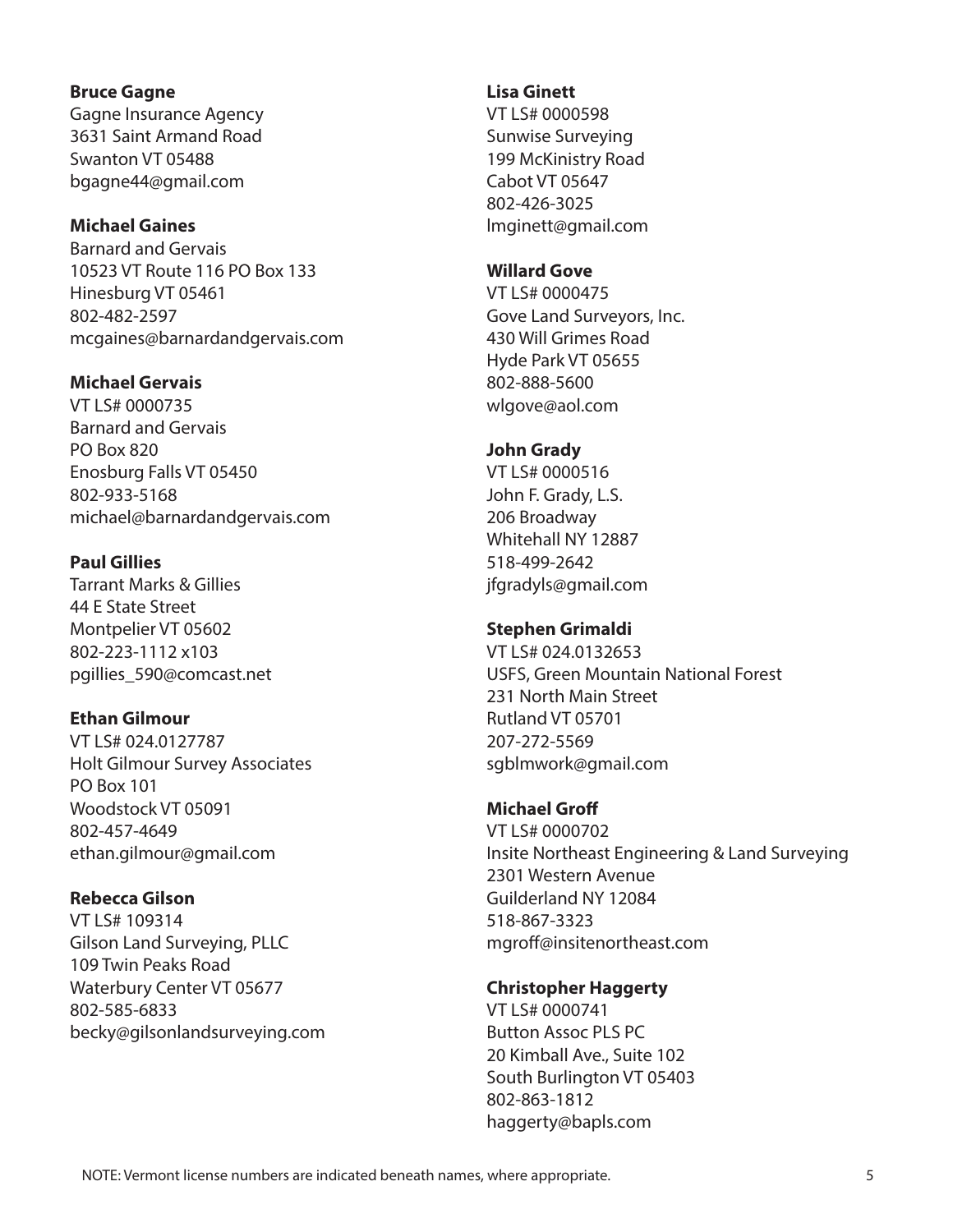#### NOTE: Vermont license numbers are indicated beneath names, where appropriate. 5

#### **Bruce Gagne**

Gagne Insurance Agency 3631 Saint Armand Road Swanton VT 05488 bgagne44@gmail.com

### **Michael Gaines**

Barnard and Gervais 10523 VT Route 116 PO Box 133 Hinesburg VT 05461 802-482-2597 mcgaines@barnardandgervais.com

#### **Michael Gervais**

VT LS# 0000735 Barnard and Gervais PO Box 820 Enosburg Falls VT 05450 802-933-5168 michael@barnardandgervais.com

#### **Paul Gillies**

Tarrant Marks & Gillies 44 E State Street Montpelier VT 05602 802-223-1112 x103 pgillies\_590@comcast.net

#### **Ethan Gilmour**

VT LS# 024.0127787 Holt Gilmour Survey Associates PO Box 101 Woodstock VT 05091 802-457-4649 ethan.gilmour@gmail.com

### **Rebecca Gilson**

VT LS# 109314 Gilson Land Surveying, PLLC 109 Twin Peaks Road Waterbury Center VT 05677 802-585-6833 becky@gilsonlandsurveying.com

#### **Lisa Ginett**

VT LS# 0000598 Sunwise Surveying 199 McKinistry Road Cabot VT 05647 802-426-3025 lmginett@gmail.com

#### **Willard Gove**

VT LS# 0000475 Gove Land Surveyors, Inc. 430 Will Grimes Road Hyde Park VT 05655 802-888-5600 wlgove@aol.com

#### **John Grady**

VT LS# 0000516 John F. Grady, L.S. 206 Broadway Whitehall NY 12887 518-499-2642 jfgradyls@gmail.com

#### **Stephen Grimaldi**

VT LS# 024.0132653 USFS, Green Mountain National Forest 231 North Main Street Rutland VT 05701 207-272-5569 sgblmwork@gmail.com

#### **Michael Groff**

VT LS# 0000702 Insite Northeast Engineering & Land Surveying 2301 Western Avenue Guilderland NY 12084 518-867-3323 mgroff@insitenortheast.com

#### **Christopher Haggerty**

VT LS# 0000741 Button Assoc PLS PC 20 Kimball Ave., Suite 102 South Burlington VT 05403 802-863-1812 haggerty@bapls.com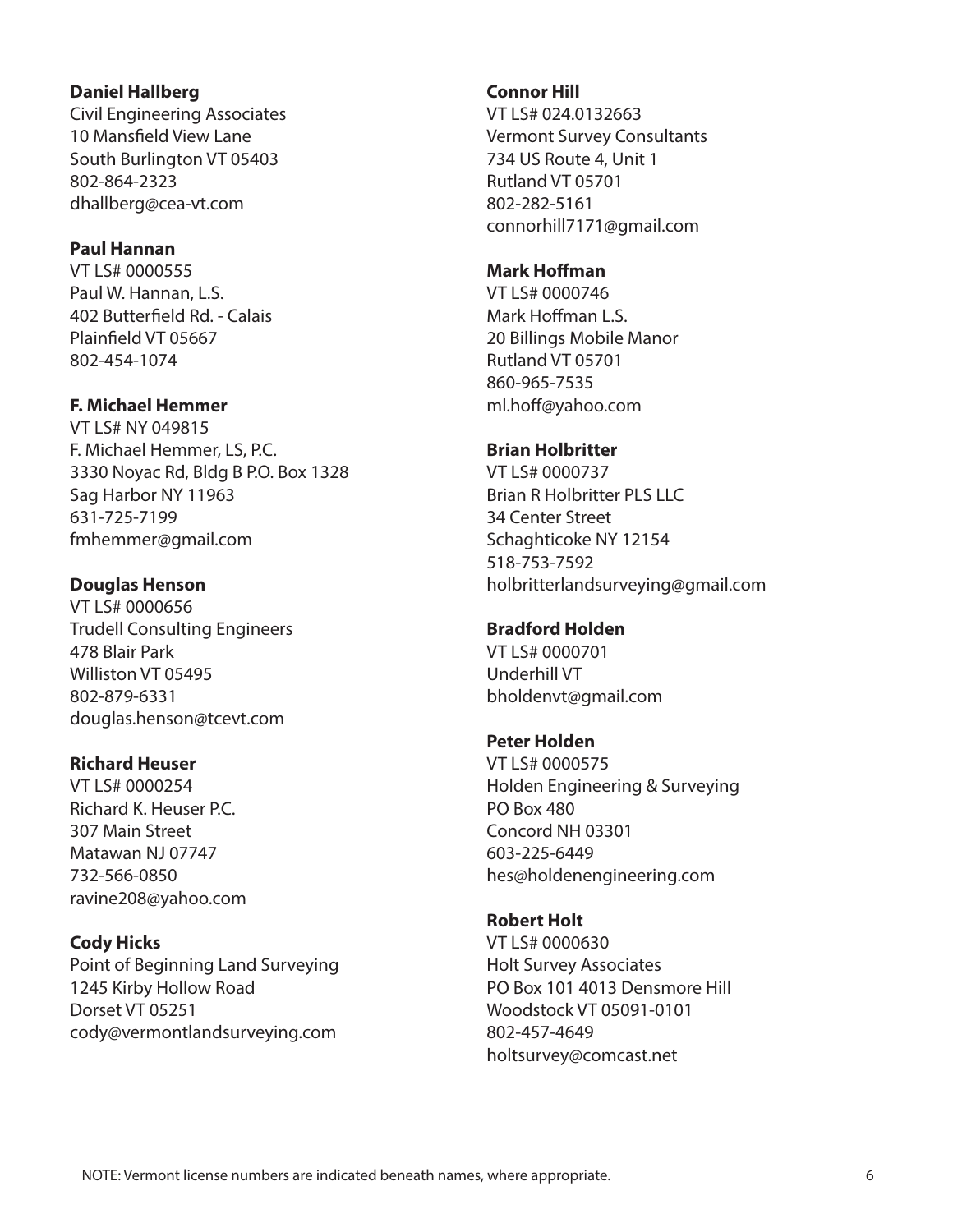#### **Daniel Hallberg**

Civil Engineering Associates 10 Mansfield View Lane South Burlington VT 05403 802-864-2323 dhallberg@cea-vt.com

#### **Paul Hannan**

VT LS# 0000555 Paul W. Hannan, L.S. 402 Butterfield Rd. - Calais Plainfield VT 05667 802-454-1074

### **F. Michael Hemmer**

VT LS# NY 049815 F. Michael Hemmer, LS, P.C. 3330 Noyac Rd, Bldg B P.O. Box 1328 Sag Harbor NY 11963 631-725-7199 fmhemmer@gmail.com

#### **Douglas Henson**

VT LS# 0000656 Trudell Consulting Engineers 478 Blair Park Williston VT 05495 802-879-6331 douglas.henson@tcevt.com

#### **Richard Heuser**

VT LS# 0000254 Richard K. Heuser P.C. 307 Main Street Matawan NJ 07747 732-566-0850 ravine208@yahoo.com

**Cody Hicks** Point of Beginning Land Surveying 1245 Kirby Hollow Road Dorset VT 05251 cody@vermontlandsurveying.com

#### **Connor Hill**

VT LS# 024.0132663 Vermont Survey Consultants 734 US Route 4, Unit 1 Rutland VT 05701 802-282-5161 connorhill7171@gmail.com

#### **Mark Hoffman**

VT LS# 0000746 Mark Hoffman L.S. 20 Billings Mobile Manor Rutland VT 05701 860-965-7535 ml.hoff@yahoo.com

#### **Brian Holbritter**

VT LS# 0000737 Brian R Holbritter PLS LLC 34 Center Street Schaghticoke NY 12154 518-753-7592 holbritterlandsurveying@gmail.com

#### **Bradford Holden**

VT LS# 0000701 Underhill VT bholdenvt@gmail.com

#### **Peter Holden**

VT LS# 0000575 Holden Engineering & Surveying PO Box 480 Concord NH 03301 603-225-6449 hes@holdenengineering.com

#### **Robert Holt**

VT LS# 0000630 Holt Survey Associates PO Box 101 4013 Densmore Hill Woodstock VT 05091-0101 802-457-4649 holtsurvey@comcast.net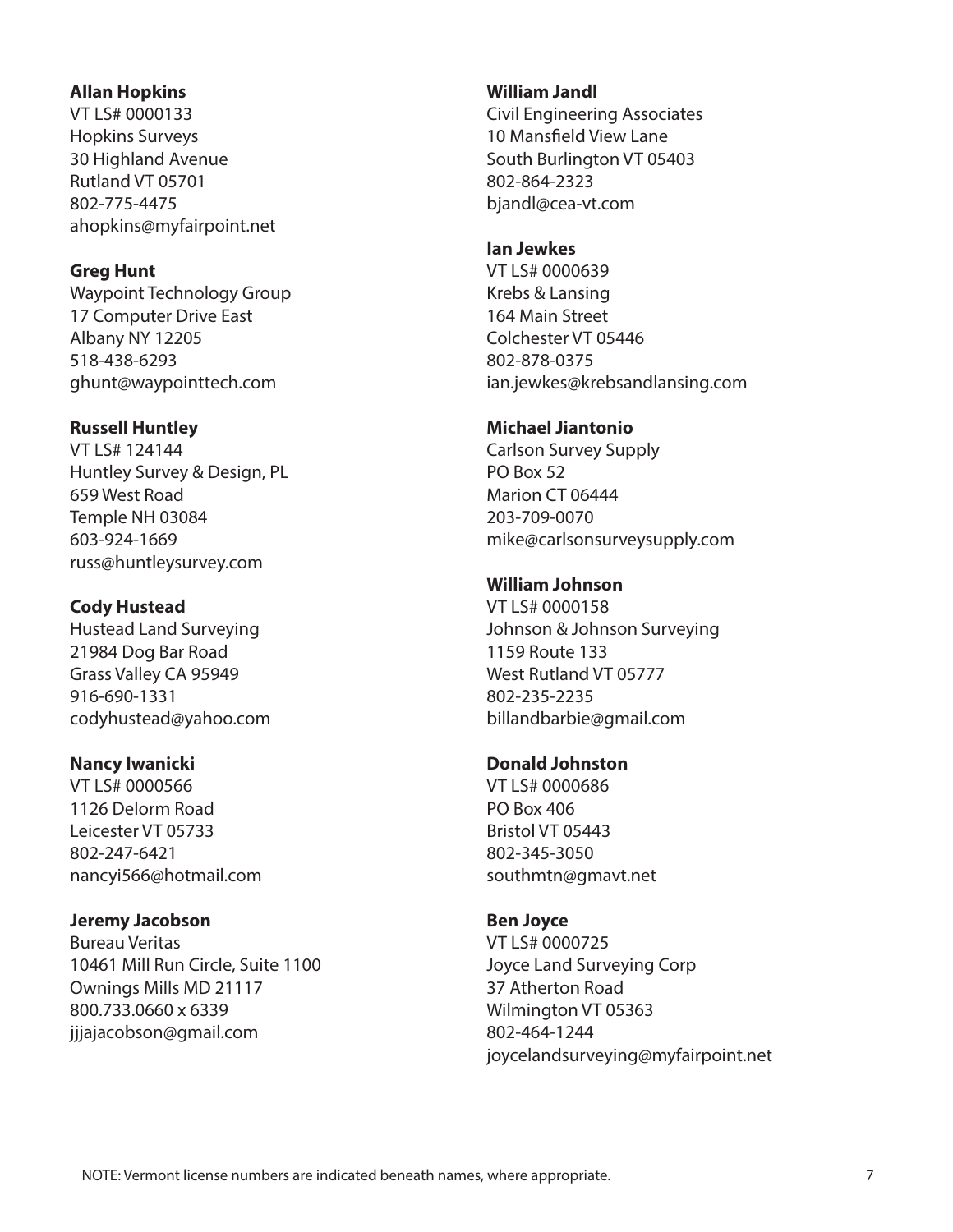#### **Allan Hopkins**

VT LS# 0000133 Hopkins Surveys 30 Highland Avenue Rutland VT 05701 802-775-4475 ahopkins@myfairpoint.net

#### **Greg Hunt**

Waypoint Technology Group 17 Computer Drive East Albany NY 12205 518-438-6293 ghunt@waypointtech.com

### **Russell Huntley**

VT LS# 124144 Huntley Survey & Design, PL 659 West Road Temple NH 03084 603-924-1669 russ@huntleysurvey.com

# **Cody Hustead**

Hustead Land Surveying 21984 Dog Bar Road Grass Valley CA 95949 916-690-1331 codyhustead@yahoo.com

### **Nancy Iwanicki**

VT LS# 0000566 1126 Delorm Road Leicester VT 05733 802-247-6421 nancyi566@hotmail.com

# **Jeremy Jacobson**

Bureau Veritas 10461 Mill Run Circle, Suite 1100 Ownings Mills MD 21117 800.733.0660 x 6339 jjjajacobson@gmail.com

### **William Jandl**

Civil Engineering Associates 10 Mansfield View Lane South Burlington VT 05403 802-864-2323 bjandl@cea-vt.com

#### **Ian Jewkes**

VT LS# 0000639 Krebs & Lansing 164 Main Street Colchester VT 05446 802-878-0375 ian.jewkes@krebsandlansing.com

### **Michael Jiantonio**

Carlson Survey Supply PO Box 52 Marion CT 06444 203-709-0070 mike@carlsonsurveysupply.com

# **William Johnson**

VT LS# 0000158 Johnson & Johnson Surveying 1159 Route 133 West Rutland VT 05777 802-235-2235 billandbarbie@gmail.com

# **Donald Johnston**

VT LS# 0000686 PO Box 406 Bristol VT 05443 802-345-3050 southmtn@gmavt.net

### **Ben Joyce**

VT LS# 0000725 Joyce Land Surveying Corp 37 Atherton Road Wilmington VT 05363 802-464-1244 joycelandsurveying@myfairpoint.net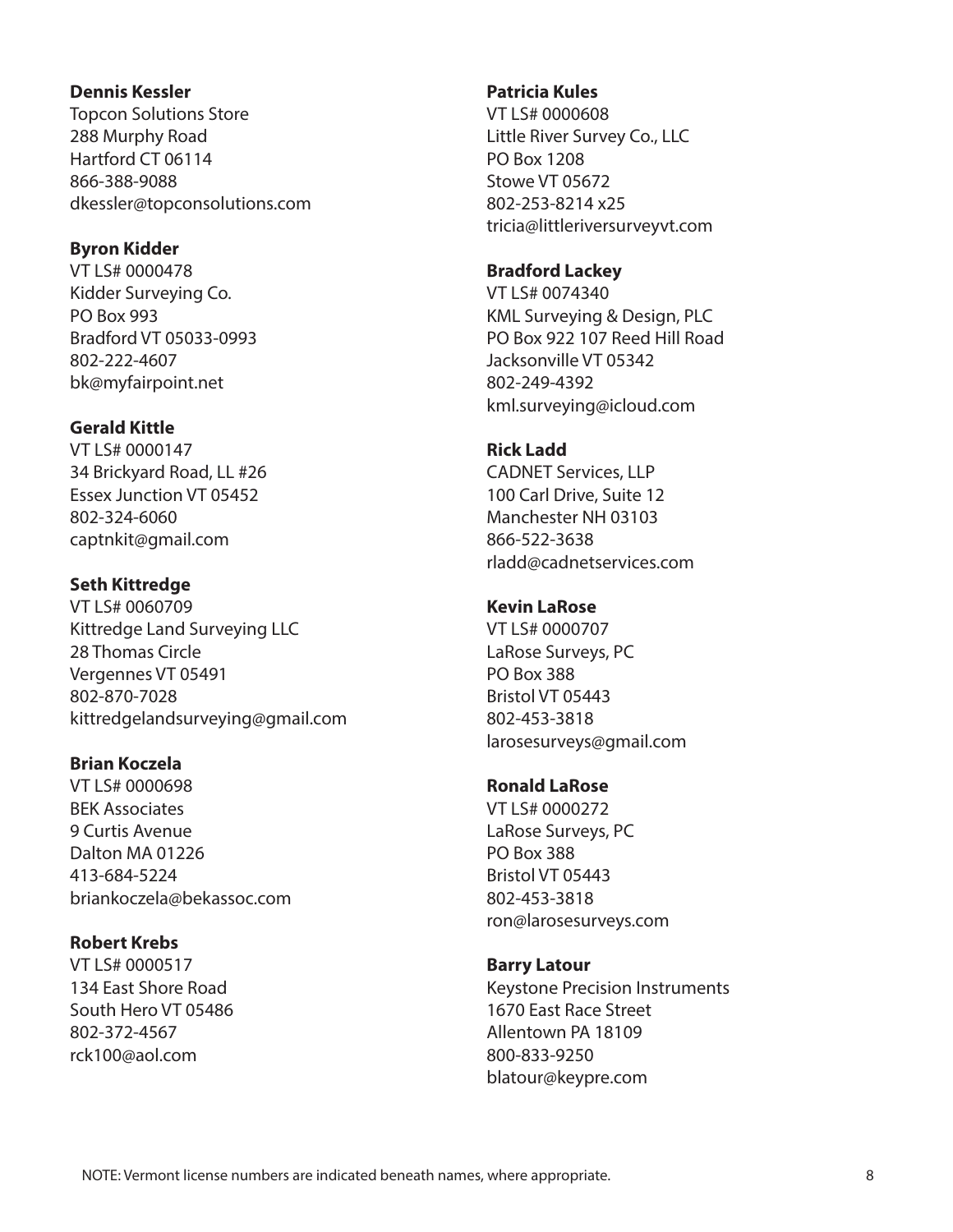#### **Dennis Kessler**

Topcon Solutions Store 288 Murphy Road Hartford CT 06114 866-388-9088 dkessler@topconsolutions.com

#### **Byron Kidder**

VT LS# 0000478 Kidder Surveying Co. PO Box 993 Bradford VT 05033-0993 802-222-4607 bk@myfairpoint.net

#### **Gerald Kittle**

VT LS# 0000147 34 Brickyard Road, LL #26 Essex Junction VT 05452 802-324-6060 captnkit@gmail.com

#### **Seth Kittredge**

VT LS# 0060709 Kittredge Land Surveying LLC 28 Thomas Circle Vergennes VT 05491 802-870-7028 kittredgelandsurveying@gmail.com

### **Brian Koczela**

VT LS# 0000698 BEK Associates 9 Curtis Avenue Dalton MA 01226 413-684-5224 briankoczela@bekassoc.com

### **Robert Krebs**

VT LS# 0000517 134 East Shore Road South Hero VT 05486 802-372-4567 rck100@aol.com

#### **Patricia Kules**

VT LS# 0000608 Little River Survey Co., LLC PO Box 1208 Stowe VT 05672 802-253-8214 x25 tricia@littleriversurveyvt.com

#### **Bradford Lackey**

VT LS# 0074340 KML Surveying & Design, PLC PO Box 922 107 Reed Hill Road Jacksonville VT 05342 802-249-4392 kml.surveying@icloud.com

#### **Rick Ladd**

CADNET Services, LLP 100 Carl Drive, Suite 12 Manchester NH 03103 866-522-3638 rladd@cadnetservices.com

# **Kevin LaRose**

VT LS# 0000707 LaRose Surveys, PC PO Box 388 Bristol VT 05443 802-453-3818 larosesurveys@gmail.com

### **Ronald LaRose**

VT LS# 0000272 LaRose Surveys, PC PO Box 388 Bristol VT 05443 802-453-3818 ron@larosesurveys.com

#### **Barry Latour**

Keystone Precision Instruments 1670 East Race Street Allentown PA 18109 800-833-9250 blatour@keypre.com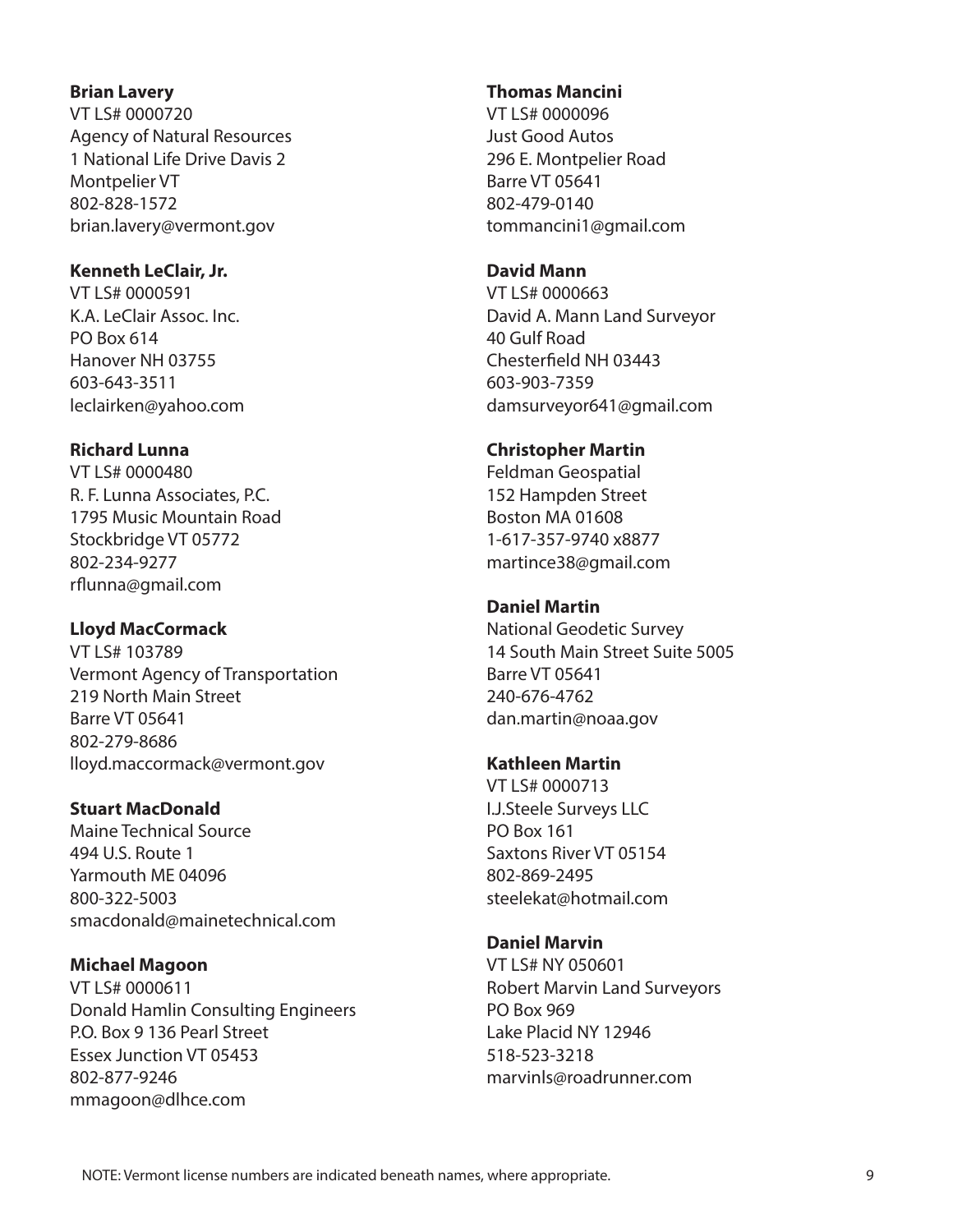#### **Brian Lavery**

VT LS# 0000720 Agency of Natural Resources 1 National Life Drive Davis 2 Montpelier VT 802-828-1572 brian.lavery@vermont.gov

#### **Kenneth LeClair, Jr.**

VT LS# 0000591 K.A. LeClair Assoc. Inc. PO Box 614 Hanover NH 03755 603-643-3511 leclairken@yahoo.com

### **Richard Lunna**

VT LS# 0000480 R. F. Lunna Associates, P.C. 1795 Music Mountain Road Stockbridge VT 05772 802-234-9277 rflunna@gmail.com

### **Lloyd MacCormack**

VT LS# 103789 Vermont Agency of Transportation 219 North Main Street Barre VT 05641 802-279-8686 lloyd.maccormack@vermont.gov

### **Stuart MacDonald**

Maine Technical Source 494 U.S. Route 1 Yarmouth ME 04096 800-322-5003 smacdonald@mainetechnical.com

### **Michael Magoon**

VT LS# 0000611 Donald Hamlin Consulting Engineers P.O. Box 9 136 Pearl Street Essex Junction VT 05453 802-877-9246 mmagoon@dlhce.com

#### **Thomas Mancini**

VT LS# 0000096 Just Good Autos 296 E. Montpelier Road Barre VT 05641 802-479-0140 tommancini1@gmail.com

#### **David Mann**

VT LS# 0000663 David A. Mann Land Surveyor 40 Gulf Road Chesterfield NH 03443 603-903-7359 damsurveyor641@gmail.com

### **Christopher Martin**

Feldman Geospatial 152 Hampden Street Boston MA 01608 1-617-357-9740 x8877 martince38@gmail.com

# **Daniel Martin**

National Geodetic Survey 14 South Main Street Suite 5005 Barre VT 05641 240-676-4762 dan.martin@noaa.gov

### **Kathleen Martin**

VT LS# 0000713 I.J.Steele Surveys LLC PO Box 161 Saxtons River VT 05154 802-869-2495 steelekat@hotmail.com

# **Daniel Marvin**

VT LS# NY 050601 Robert Marvin Land Surveyors PO Box 969 Lake Placid NY 12946 518-523-3218 marvinls@roadrunner.com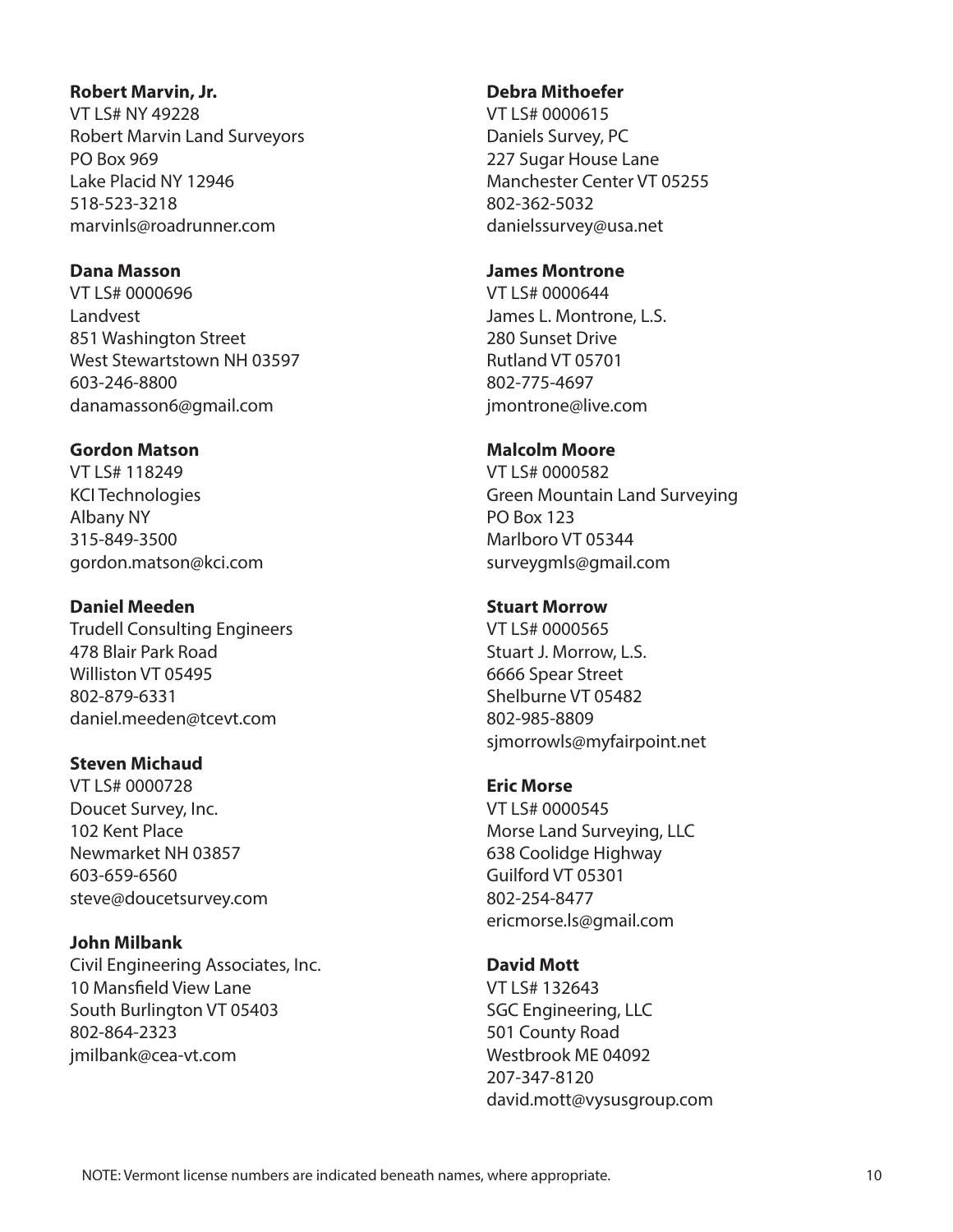#### **Robert Marvin, Jr.**

VT LS# NY 49228 Robert Marvin Land Surveyors PO Box 969 Lake Placid NY 12946 518-523-3218 marvinls@roadrunner.com

# **Dana Masson**

VT LS# 0000696 Landvest 851 Washington Street West Stewartstown NH 03597 603-246-8800 danamasson6@gmail.com

# **Gordon Matson**

VT LS# 118249 KCI Technologies Albany NY 315-849-3500 gordon.matson@kci.com

### **Daniel Meeden**

Trudell Consulting Engineers 478 Blair Park Road Williston VT 05495 802-879-6331 daniel.meeden@tcevt.com

# **Steven Michaud**

VT LS# 0000728 Doucet Survey, Inc. 102 Kent Place Newmarket NH 03857 603-659-6560 steve@doucetsurvey.com

# **John Milbank**

Civil Engineering Associates, Inc. 10 Mansfield View Lane South Burlington VT 05403 802-864-2323 jmilbank@cea-vt.com

# **Debra Mithoefer**

VT LS# 0000615 Daniels Survey, PC 227 Sugar House Lane Manchester Center VT 05255 802-362-5032 danielssurvey@usa.net

### **James Montrone**

VT LS# 0000644 James L. Montrone, L.S. 280 Sunset Drive Rutland VT 05701 802-775-4697 jmontrone@live.com

# **Malcolm Moore**

VT LS# 0000582 Green Mountain Land Surveying PO Box 123 Marlboro VT 05344 surveygmls@gmail.com

# **Stuart Morrow**

VT LS# 0000565 Stuart J. Morrow, L.S. 6666 Spear Street Shelburne VT 05482 802-985-8809 sjmorrowls@myfairpoint.net

# **Eric Morse**

VT LS# 0000545 Morse Land Surveying, LLC 638 Coolidge Highway Guilford VT 05301 802-254-8477 ericmorse.ls@gmail.com

# **David Mott**

VT LS# 132643 SGC Engineering, LLC 501 County Road Westbrook ME 04092 207-347-8120 david.mott@vysusgroup.com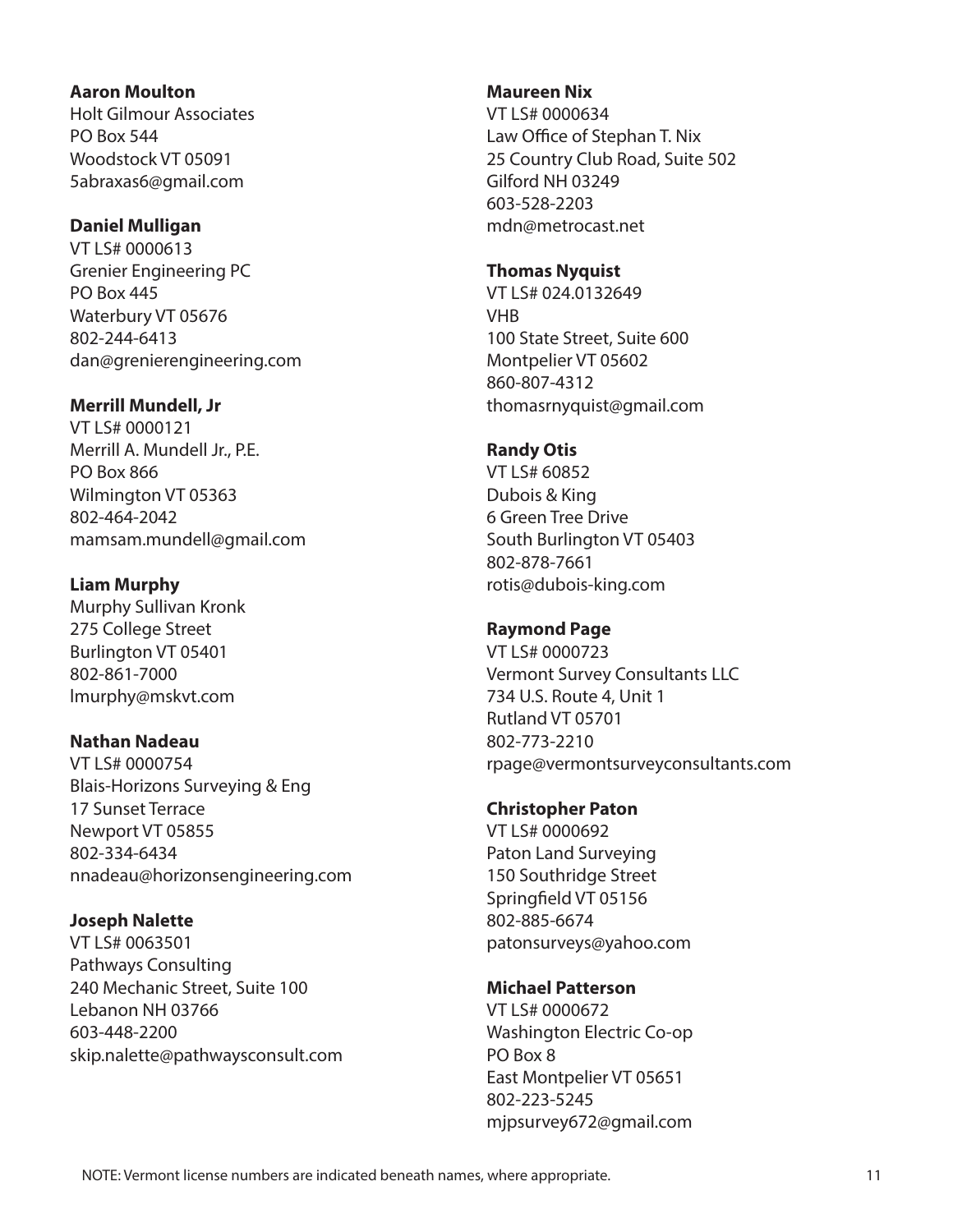#### **Aaron Moulton**

Holt Gilmour Associates PO Box 544 Woodstock VT 05091 5abraxas6@gmail.com

# **Daniel Mulligan**

VT LS# 0000613 Grenier Engineering PC PO Box 445 Waterbury VT 05676 802-244-6413 dan@grenierengineering.com

# **Merrill Mundell, Jr**

VT LS# 0000121 Merrill A. Mundell Jr., P.E. PO Box 866 Wilmington VT 05363 802-464-2042 mamsam.mundell@gmail.com

# **Liam Murphy**

Murphy Sullivan Kronk 275 College Street Burlington VT 05401 802-861-7000 lmurphy@mskvt.com

# **Nathan Nadeau**

VT LS# 0000754 Blais-Horizons Surveying & Eng 17 Sunset Terrace Newport VT 05855 802-334-6434 nnadeau@horizonsengineering.com

# **Joseph Nalette**

VT LS# 0063501 Pathways Consulting 240 Mechanic Street, Suite 100 Lebanon NH 03766 603-448-2200 skip.nalette@pathwaysconsult.com

# **Maureen Nix**

VT LS# 0000634 Law Office of Stephan T. Nix 25 Country Club Road, Suite 502 Gilford NH 03249 603-528-2203 mdn@metrocast.net

# **Thomas Nyquist**

VT LS# 024.0132649 VHB 100 State Street, Suite 600 Montpelier VT 05602 860-807-4312 thomasrnyquist@gmail.com

# **Randy Otis**

VT LS# 60852 Dubois & King 6 Green Tree Drive South Burlington VT 05403 802-878-7661 rotis@dubois-king.com

# **Raymond Page**

VT LS# 0000723 Vermont Survey Consultants LLC 734 U.S. Route 4, Unit 1 Rutland VT 05701 802-773-2210 rpage@vermontsurveyconsultants.com

# **Christopher Paton**

VT LS# 0000692 Paton Land Surveying 150 Southridge Street Springfield VT 05156 802-885-6674 patonsurveys@yahoo.com

# **Michael Patterson**

VT LS# 0000672 Washington Electric Co-op PO Box 8 East Montpelier VT 05651 802-223-5245 mjpsurvey672@gmail.com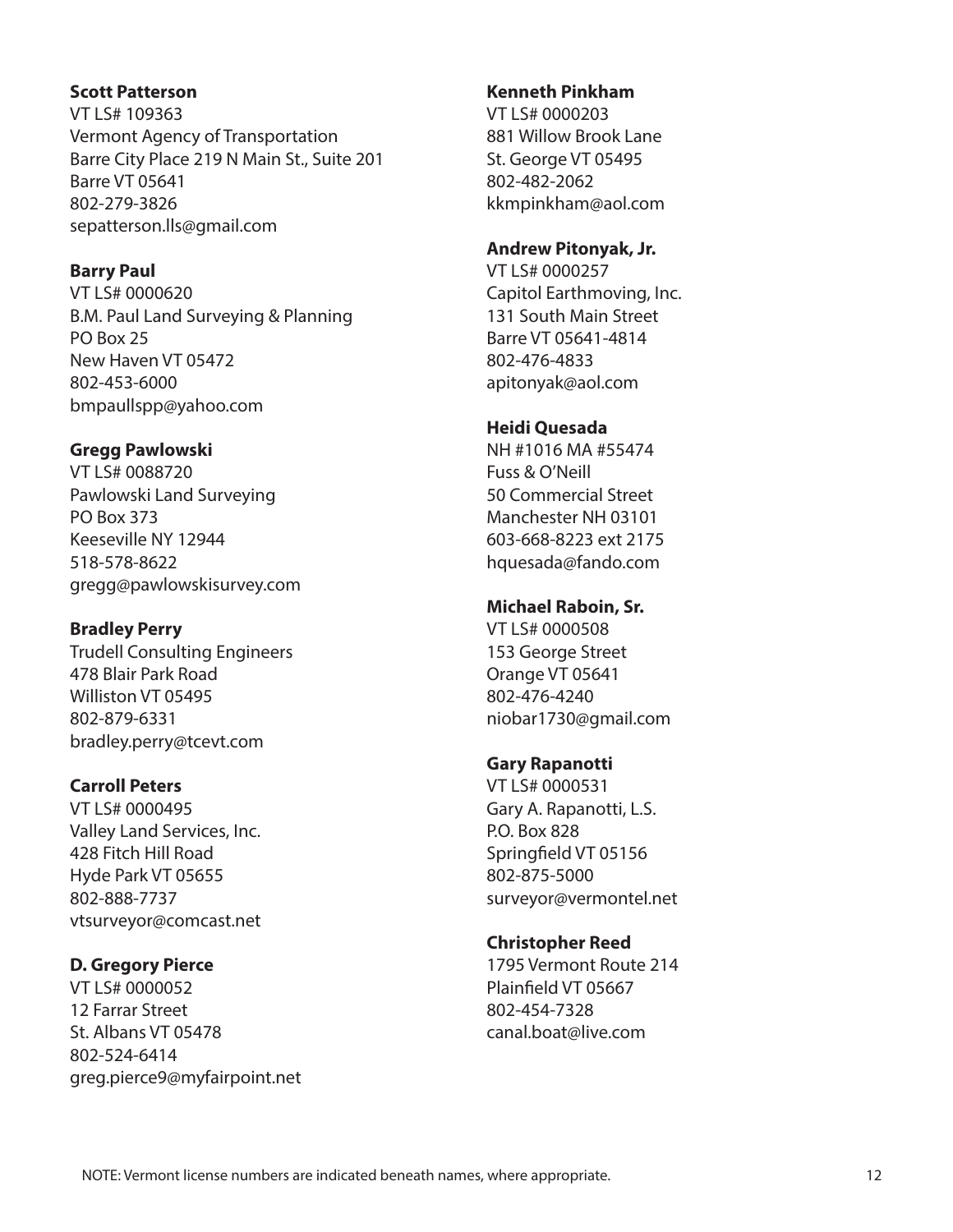#### **Scott Patterson**

VT LS# 109363 Vermont Agency of Transportation Barre City Place 219 N Main St., Suite 201 Barre VT 05641 802-279-3826 sepatterson.lls@gmail.com

### **Barry Paul**

VT LS# 0000620 B.M. Paul Land Surveying & Planning PO Box 25 New Haven VT 05472 802-453-6000 bmpaullspp@yahoo.com

# **Gregg Pawlowski**

VT LS# 0088720 Pawlowski Land Surveying PO Box 373 Keeseville NY 12944 518-578-8622 gregg@pawlowskisurvey.com

# **Bradley Perry**

Trudell Consulting Engineers 478 Blair Park Road Williston VT 05495 802-879-6331 bradley.perry@tcevt.com

# **Carroll Peters**

VT LS# 0000495 Valley Land Services, Inc. 428 Fitch Hill Road Hyde Park VT 05655 802-888-7737 vtsurveyor@comcast.net

### **D. Gregory Pierce**

VT LS# 0000052 12 Farrar Street St. Albans VT 05478 802-524-6414 greg.pierce9@myfairpoint.net

#### **Kenneth Pinkham**

VT LS# 0000203 881 Willow Brook Lane St. George VT 05495 802-482-2062 kkmpinkham@aol.com

### **Andrew Pitonyak, Jr.**

VT LS# 0000257 Capitol Earthmoving, Inc. 131 South Main Street Barre VT 05641-4814 802-476-4833 apitonyak@aol.com

### **Heidi Quesada**

NH #1016 MA #55474 Fuss & O'Neill 50 Commercial Street Manchester NH 03101 603-668-8223 ext 2175 hquesada@fando.com

# **Michael Raboin, Sr.**

VT LS# 0000508 153 George Street Orange VT 05641 802-476-4240 niobar1730@gmail.com

### **Gary Rapanotti**

VT LS# 0000531 Gary A. Rapanotti, L.S. P.O. Box 828 Springfield VT 05156 802-875-5000 surveyor@vermontel.net

### **Christopher Reed**

1795 Vermont Route 214 Plainfield VT 05667 802-454-7328 canal.boat@live.com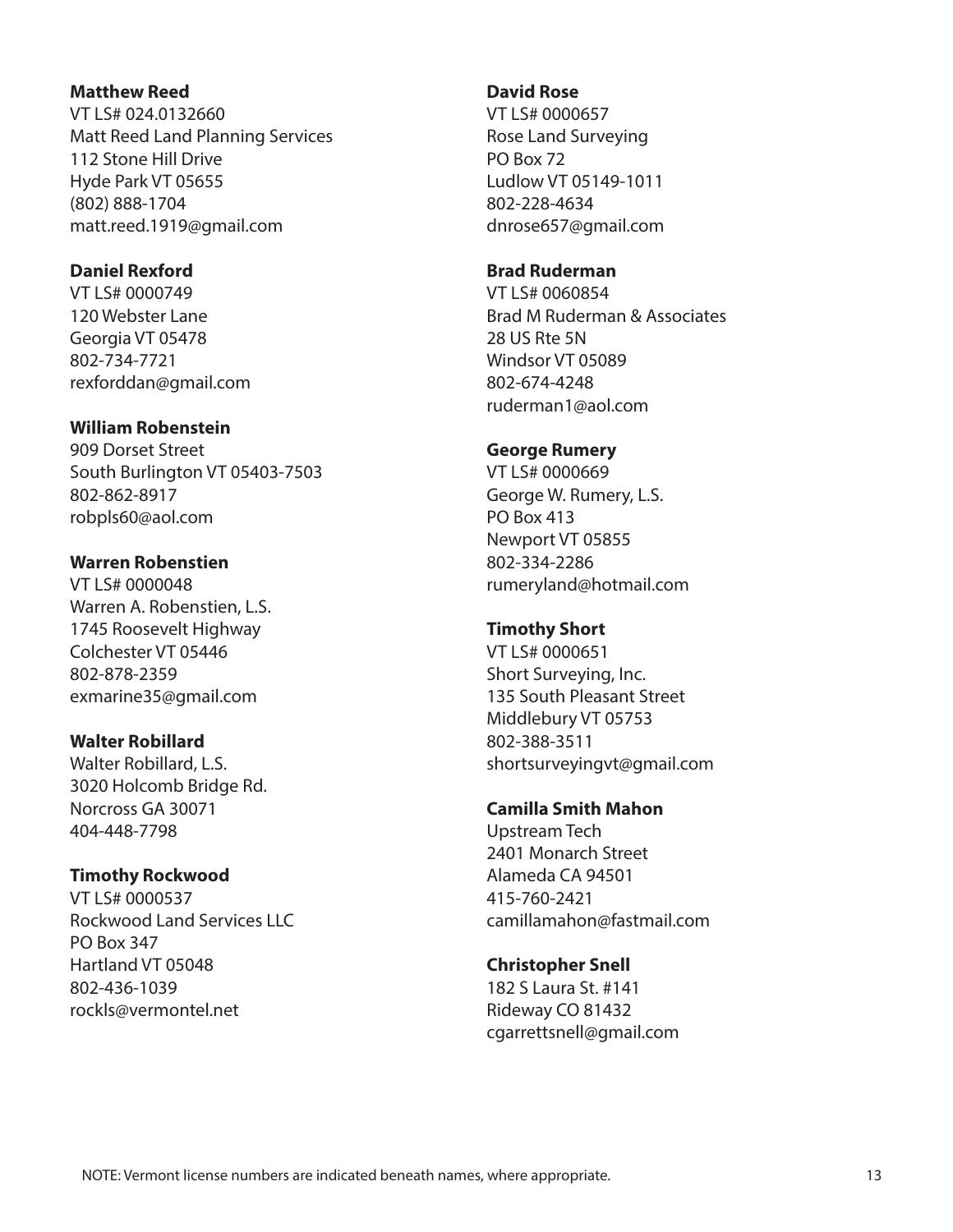#### **Matthew Reed**

VT LS# 024.0132660 Matt Reed Land Planning Services 112 Stone Hill Drive Hyde Park VT 05655 (802) 888-1704 matt.reed.1919@gmail.com

#### **Daniel Rexford**

VT LS# 0000749 120 Webster Lane Georgia VT 05478 802-734-7721 rexforddan@gmail.com

#### **William Robenstein**

909 Dorset Street South Burlington VT 05403-7503 802-862-8917 robpls60@aol.com

#### **Warren Robenstien**

VT LS# 0000048 Warren A. Robenstien, L.S. 1745 Roosevelt Highway Colchester VT 05446 802-878-2359 exmarine35@gmail.com

#### **Walter Robillard**

Walter Robillard, L.S. 3020 Holcomb Bridge Rd. Norcross GA 30071 404-448-7798

### **Timothy Rockwood**

VT LS# 0000537 Rockwood Land Services LLC PO Box 347 Hartland VT 05048 802-436-1039 rockls@vermontel.net

#### **David Rose**

VT LS# 0000657 Rose Land Surveying PO Box 72 Ludlow VT 05149-1011 802-228-4634 dnrose657@gmail.com

#### **Brad Ruderman**

VT LS# 0060854 Brad M Ruderman & Associates 28 US Rte 5N Windsor VT 05089 802-674-4248 ruderman1@aol.com

#### **George Rumery**

VT LS# 0000669 George W. Rumery, L.S. PO Box 413 Newport VT 05855 802-334-2286 rumeryland@hotmail.com

### **Timothy Short**

VT LS# 0000651 Short Surveying, Inc. 135 South Pleasant Street Middlebury VT 05753 802-388-3511 shortsurveyingvt@gmail.com

### **Camilla Smith Mahon**

Upstream Tech 2401 Monarch Street Alameda CA 94501 415-760-2421 camillamahon@fastmail.com

### **Christopher Snell**

182 S Laura St. #141 Rideway CO 81432 cgarrettsnell@gmail.com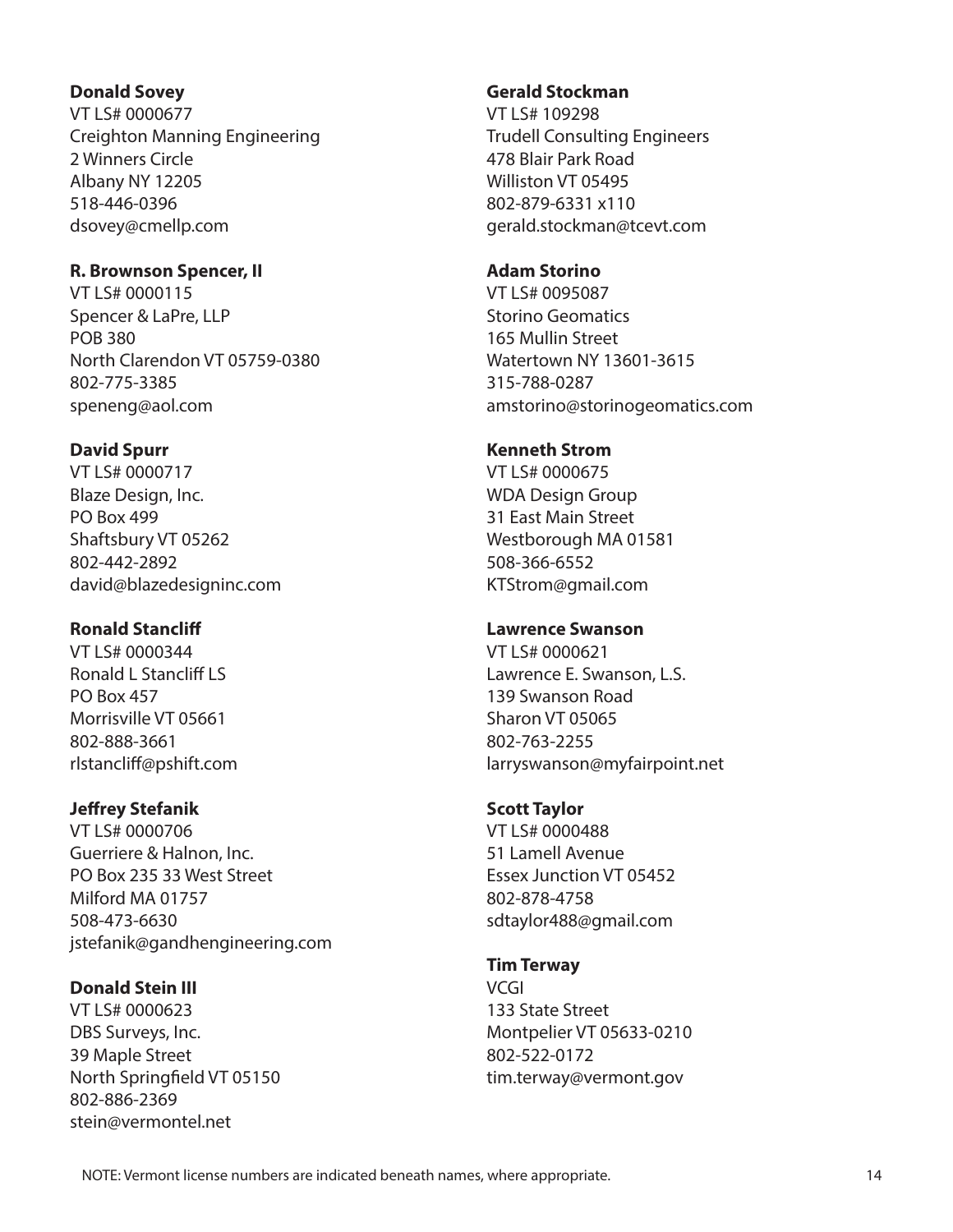#### **Donald Sovey**

VT LS# 0000677 Creighton Manning Engineering 2 Winners Circle Albany NY 12205 518-446-0396 dsovey@cmellp.com

#### **R. Brownson Spencer, II**

VT LS# 0000115 Spencer & LaPre, LLP POB 380 North Clarendon VT 05759-0380 802-775-3385 speneng@aol.com

### **David Spurr**

VT LS# 0000717 Blaze Design, Inc. PO Box 499 Shaftsbury VT 05262 802-442-2892 david@blazedesigninc.com

### **Ronald Stancliff**

VT LS# 0000344 Ronald L Stancliff LS PO Box 457 Morrisville VT 05661 802-888-3661 rlstancliff@pshift.com

# **Jeffrey Stefanik**

VT LS# 0000706 Guerriere & Halnon, Inc. PO Box 235 33 West Street Milford MA 01757 508-473-6630 jstefanik@gandhengineering.com

# **Donald Stein III**

VT LS# 0000623 DBS Surveys, Inc. 39 Maple Street North Springfield VT 05150 802-886-2369 stein@vermontel.net

#### **Gerald Stockman**

VT LS# 109298 Trudell Consulting Engineers 478 Blair Park Road Williston VT 05495 802-879-6331 x110 gerald.stockman@tcevt.com

#### **Adam Storino**

VT LS# 0095087 Storino Geomatics 165 Mullin Street Watertown NY 13601-3615 315-788-0287 amstorino@storinogeomatics.com

#### **Kenneth Strom**

VT LS# 0000675 WDA Design Group 31 East Main Street Westborough MA 01581 508-366-6552 KTStrom@gmail.com

### **Lawrence Swanson**

VT LS# 0000621 Lawrence E. Swanson, L.S. 139 Swanson Road Sharon VT 05065 802-763-2255 larryswanson@myfairpoint.net

#### **Scott Taylor**

VT LS# 0000488 51 Lamell Avenue Essex Junction VT 05452 802-878-4758 sdtaylor488@gmail.com

### **Tim Terway**

VCGI 133 State Street Montpelier VT 05633-0210 802-522-0172 tim.terway@vermont.gov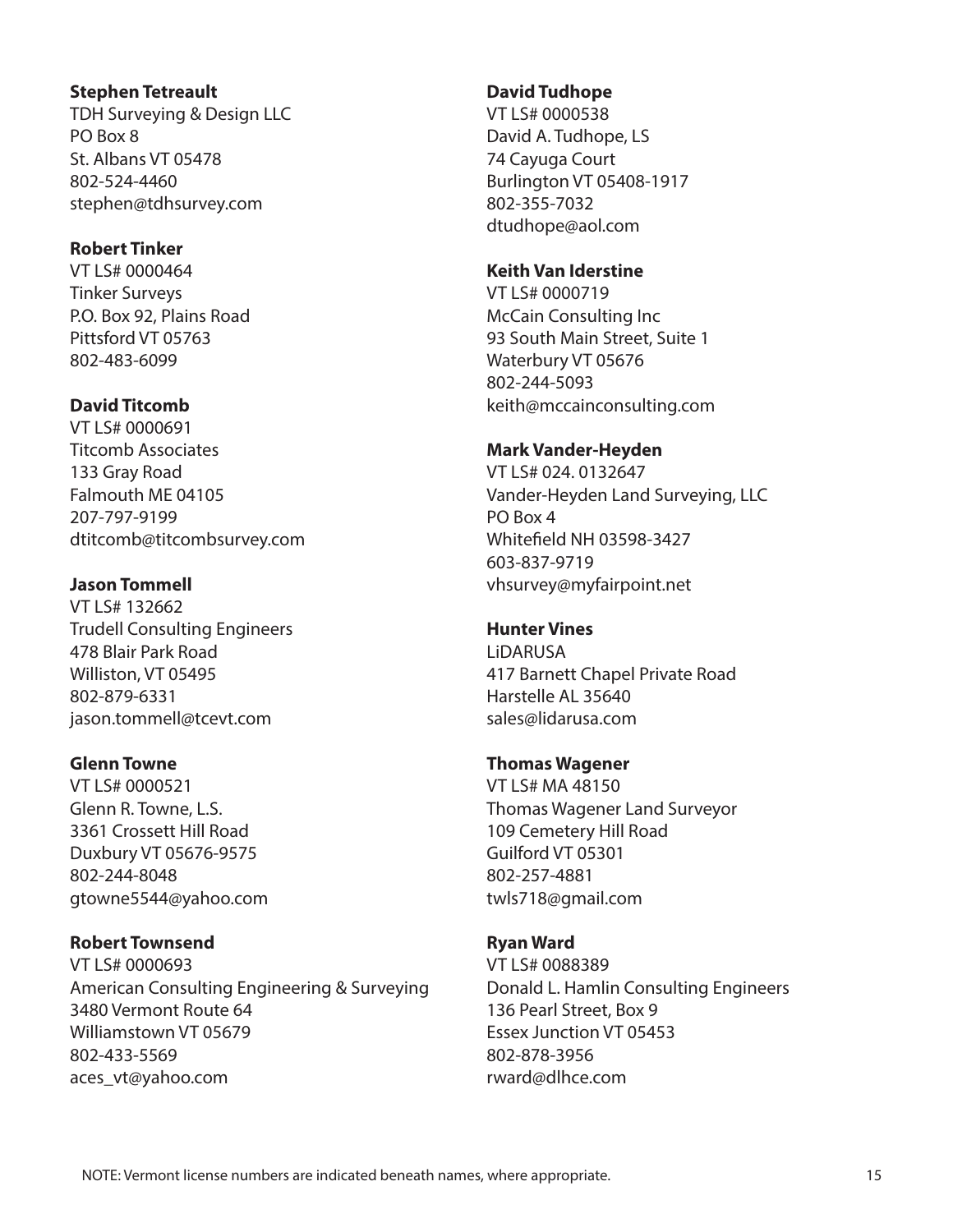#### **Stephen Tetreault**

TDH Surveying & Design LLC PO Box 8 St. Albans VT 05478 802-524-4460 stephen@tdhsurvey.com

### **Robert Tinker**

VT LS# 0000464 Tinker Surveys P.O. Box 92, Plains Road Pittsford VT 05763 802-483-6099

# **David Titcomb**

VT LS# 0000691 Titcomb Associates 133 Gray Road Falmouth ME 04105 207-797-9199 dtitcomb@titcombsurvey.com

# **Jason Tommell**

VT LS# 132662 Trudell Consulting Engineers 478 Blair Park Road Williston, VT 05495 802-879-6331 jason.tommell@tcevt.com

### **Glenn Towne**

VT LS# 0000521 Glenn R. Towne, L.S. 3361 Crossett Hill Road Duxbury VT 05676-9575 802-244-8048 gtowne5544@yahoo.com

### **Robert Townsend**

VT LS# 0000693 American Consulting Engineering & Surveying 3480 Vermont Route 64 Williamstown VT 05679 802-433-5569 aces\_vt@yahoo.com

### **David Tudhope**

VT LS# 0000538 David A. Tudhope, LS 74 Cayuga Court Burlington VT 05408-1917 802-355-7032 dtudhope@aol.com

### **Keith Van Iderstine**

VT LS# 0000719 McCain Consulting Inc 93 South Main Street, Suite 1 Waterbury VT 05676 802-244-5093 keith@mccainconsulting.com

# **Mark Vander-Heyden**

VT LS# 024. 0132647 Vander-Heyden Land Surveying, LLC PO Box 4 Whitefield NH 03598-3427 603-837-9719 vhsurvey@myfairpoint.net

# **Hunter Vines**

LiDARUSA 417 Barnett Chapel Private Road Harstelle AL 35640 sales@lidarusa.com

### **Thomas Wagener**

VT LS# MA 48150 Thomas Wagener Land Surveyor 109 Cemetery Hill Road Guilford VT 05301 802-257-4881 twls718@gmail.com

# **Ryan Ward**

VT LS# 0088389 Donald L. Hamlin Consulting Engineers 136 Pearl Street, Box 9 Essex Junction VT 05453 802-878-3956 rward@dlhce.com